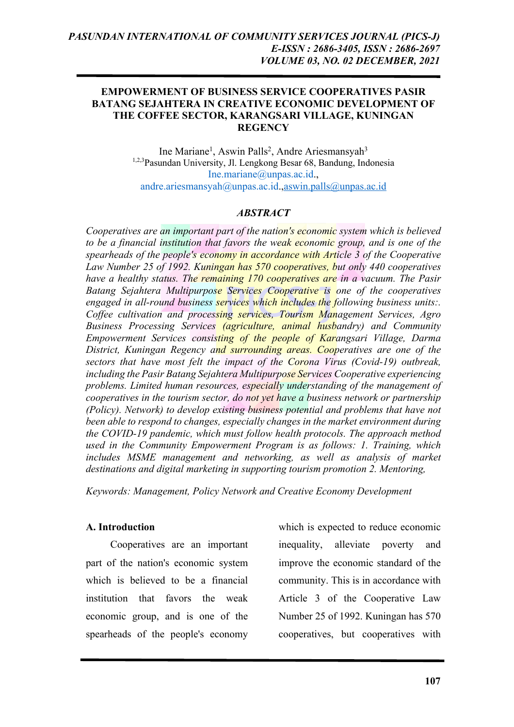#### **EMPOWERMENT OF BUSINESS SERVICE COOPERATIVES PASIR BATANG SEJAHTERA IN CREATIVE ECONOMIC DEVELOPMENT OF THE COFFEE SECTOR, KARANGSARI VILLAGE, KUNINGAN REGENCY**

Ine Mariane<sup>1</sup>, Aswin Palls<sup>2</sup>, Andre Ariesmansyah<sup>3</sup> 1,2,3Pasundan University, Jl. Lengkong Besar 68, Bandung, Indonesia Ine.mariane@unpas.ac.id., andre.ariesmansyah@unpas.ac.id.,aswin.palls@unpas.ac.id

## *ABSTRACT*

*Cooperatives are an important part of the nation's economic system which is believed to be a financial institution that favors the weak economic group, and is one of the spearheads of the people's economy in accordance with Article 3 of the Cooperative Law Number 25 of 1992. Kuningan has 570 cooperatives, but only 440 cooperatives have a healthy status. The remaining 170 cooperatives are in a vacuum. The Pasir Batang Sejahtera Multipurpose Services Cooperative is one of the cooperatives engaged in all-round business services which includes the following business units:. Coffee cultivation and processing services, Tourism Management Services, Agro Business Processing Services (agriculture, animal husbandry) and Community Empowerment Services consisting of the people of Karangsari Village, Darma District, Kuningan Regency and surrounding areas. Cooperatives are one of the sectors that have most felt the impact of the Corona Virus (Covid-19) outbreak, including the Pasir Batang Sejahtera Multipurpose Services Cooperative experiencing problems. Limited human resources, especially understanding of the management of cooperatives in the tourism sector, do not yet have a business network or partnership (Policy). Network) to develop existing business potential and problems that have not been able to respond to changes, especially changes in the market environment during the COVID-19 pandemic, which must follow health protocols. The approach method used in the Community Empowerment Program is as follows: 1. Training, which includes MSME management and networking, as well as analysis of market destinations and digital marketing in supporting tourism promotion 2. Mentoring,*

*Keywords: Management, Policy Network and Creative Economy Development*

#### **A. Introduction**

Cooperatives are an important part of the nation's economic system which is believed to be a financial institution that favors the weak economic group, and is one of the spearheads of the people's economy

which is expected to reduce economic inequality, alleviate poverty and improve the economic standard of the community. This is in accordance with Article 3 of the Cooperative Law Number 25 of 1992. Kuningan has 570 cooperatives, but cooperatives with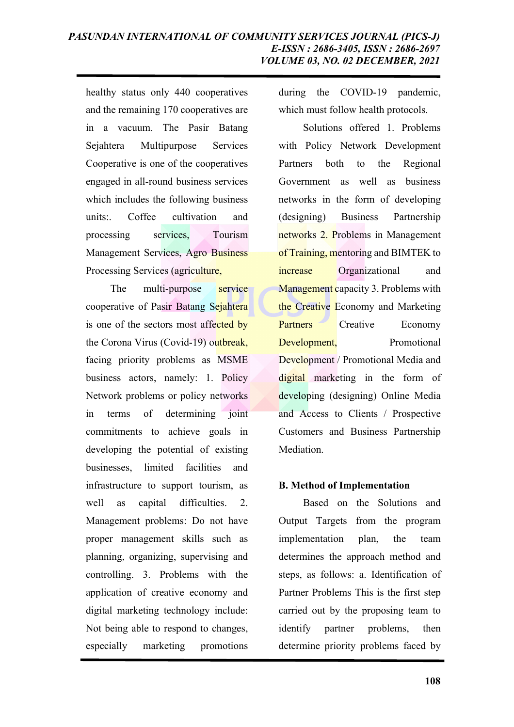healthy status only 440 cooperatives and the remaining 170 cooperatives are in a vacuum. The Pasir Batang Sejahtera Multipurpose Services Cooperative is one of the cooperatives engaged in all-round business services which includes the following business units:. Coffee cultivation and processing services, Tourism Management Services, Agro Business Processing Services (agriculture,

The multi-purpose service cooperative of Pasir Batang Sejahtera is one of the sectors most affected by the Corona Virus (Covid-19) outbreak, facing priority problems as MSME business actors, namely: 1. Policy Network problems or policy networks in terms of determining joint commitments to achieve goals in developing the potential of existing businesses, limited facilities and infrastructure to support tourism, as well as capital difficulties. 2. Management problems: Do not have proper management skills such as planning, organizing, supervising and controlling. 3. Problems with the application of creative economy and digital marketing technology include: Not being able to respond to changes, especially marketing promotions

during the COVID-19 pandemic, which must follow health protocols.

Solutions offered 1. Problems with Policy Network Development Partners both to the Regional Government as well as business networks in the form of developing (designing) Business Partnership networks 2. Problems in Management of Training, mentoring and BIMTEK to increase Organizational and Management capacity 3. Problems with the Creative Economy and Marketing Partners Creative Economy Development, Promotional Development / Promotional Media and digital marketing in the form of developing (designing) Online Media and Access to Clients / Prospective Customers and Business Partnership Mediation.

## **B. Method of Implementation**

Based on the Solutions and Output Targets from the program implementation plan, the team determines the approach method and steps, as follows: a. Identification of Partner Problems This is the first step carried out by the proposing team to identify partner problems, then determine priority problems faced by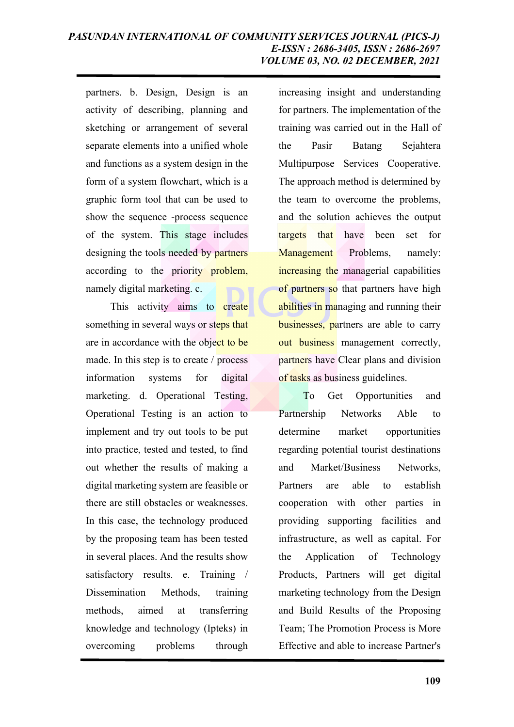partners. b. Design, Design is an activity of describing, planning and sketching or arrangement of several separate elements into a unified whole and functions as a system design in the form of a system flowchart, which is a graphic form tool that can be used to show the sequence -process sequence of the system. This stage includes designing the tools needed by partners according to the priority problem, namely digital marketing. c.

This activity aims to create something in several ways or steps that are in accordance with the object to be made. In this step is to create / process information systems for digital marketing. d. Operational Testing, Operational Testing is an action to implement and try out tools to be put into practice, tested and tested, to find out whether the results of making a digital marketing system are feasible or there are still obstacles or weaknesses. In this case, the technology produced by the proposing team has been tested in several places. And the results show satisfactory results. e. Training / Dissemination Methods, training methods, aimed at transferring knowledge and technology (Ipteks) in overcoming problems through

increasing insight and understanding for partners. The implementation of the training was carried out in the Hall of the Pasir Batang Sejahtera Multipurpose Services Cooperative. The approach method is determined by the team to overcome the problems, and the solution achieves the output targets that have been set for Management Problems, namely: increasing the managerial capabilities of partners so that partners have high abilities in managing and running their businesses, partners are able to carry out business management correctly, partners have Clear plans and division of tasks as business guidelines.

To Get Opportunities and Partnership Networks Able to determine market opportunities regarding potential tourist destinations and Market/Business Networks, Partners are able to establish cooperation with other parties in providing supporting facilities and infrastructure, as well as capital. For the Application of Technology Products, Partners will get digital marketing technology from the Design and Build Results of the Proposing Team; The Promotion Process is More Effective and able to increase Partner's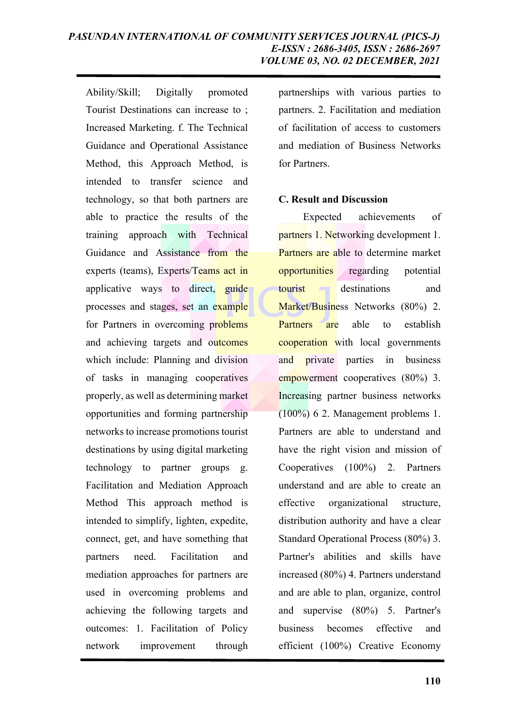Ability/Skill; Digitally promoted Tourist Destinations can increase to ; Increased Marketing. f. The Technical Guidance and Operational Assistance Method, this Approach Method, is intended to transfer science and technology, so that both partners are able to practice the results of the training approach with Technical Guidance and Assistance from the experts (teams), Experts/Teams act in applicative ways to direct, guide processes and stages, set an example for Partners in overcoming problems and achieving targets and outcomes which include: Planning and division of tasks in managing cooperatives properly, as well as determining market opportunities and forming partnership networks to increase promotions tourist destinations by using digital marketing technology to partner groups g. Facilitation and Mediation Approach Method This approach method is intended to simplify, lighten, expedite, connect, get, and have something that partners need. Facilitation and mediation approaches for partners are used in overcoming problems and achieving the following targets and outcomes: 1. Facilitation of Policy network improvement through

partnerships with various parties to partners. 2. Facilitation and mediation of facilitation of access to customers and mediation of Business Networks for Partners.

#### **C. Result and Discussion**

Expected achievements of partners 1. Networking development 1. Partners are able to determine market opportunities regarding potential tourist destinations and Market/Business Networks (80%) 2. Partners are able to establish cooperation with local governments and private parties in business empowerment cooperatives (80%) 3. Increasing partner business networks (100%) 6 2. Management problems 1. Partners are able to understand and have the right vision and mission of Cooperatives (100%) 2. Partners understand and are able to create an effective organizational structure, distribution authority and have a clear Standard Operational Process (80%) 3. Partner's abilities and skills have increased (80%) 4. Partners understand and are able to plan, organize, control and supervise (80%) 5. Partner's business becomes effective and efficient (100%) Creative Economy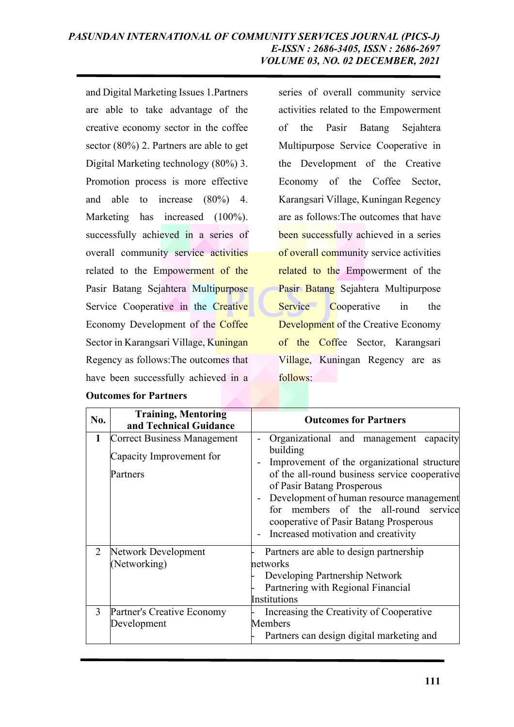and Digital Marketing Issues 1.Partners are able to take advantage of the creative economy sector in the coffee sector (80%) 2. Partners are able to get Digital Marketing technology (80%) 3. Promotion process is more effective and able to increase (80%) 4. Marketing has increased (100%). successfully achieved in a series of overall community service activities related to the Empowerment of the Pasir Batang Sejahtera Multipurpose Service Cooperative in the Creative Economy Development of the Coffee Sector in Karangsari Village, Kuningan Regency as follows:The outcomes that have been successfully achieved in a

series of overall community service activities related to the Empowerment of the Pasir Batang Sejahtera Multipurpose Service Cooperative in the Development of the Creative Economy of the Coffee Sector, Karangsari Village, Kuningan Regency are as follows:The outcomes that have been successfully achieved in a series of overall community service activities related to the Empowerment of the Pasir Batang Sejahtera Multipurpose Service Cooperative in the Development of the Creative Economy of the Coffee Sector, Karangsari Village, Kuningan Regency are as follows:

| No.          | <b>Training, Mentoring</b><br>and Technical Guidance                       | <b>Outcomes for Partners</b>                                                                                                                                                                                                                                                                                                                          |
|--------------|----------------------------------------------------------------------------|-------------------------------------------------------------------------------------------------------------------------------------------------------------------------------------------------------------------------------------------------------------------------------------------------------------------------------------------------------|
| $\mathbf{1}$ | <b>Correct Business Management</b><br>Capacity Improvement for<br>Partners | Organizational and management capacity<br>building<br>Improvement of the organizational structure<br>of the all-round business service cooperative<br>of Pasir Batang Prosperous<br>Development of human resource management<br>for members of the all-round service<br>cooperative of Pasir Batang Prosperous<br>Increased motivation and creativity |
| 2            | Network Development<br>(Networking)                                        | Partners are able to design partnership<br>networks<br>Developing Partnership Network<br>Partnering with Regional Financial<br>Institutions                                                                                                                                                                                                           |
| 3            | Partner's Creative Economy<br>Development                                  | Increasing the Creativity of Cooperative<br>Members<br>Partners can design digital marketing and                                                                                                                                                                                                                                                      |

#### **Outcomes for Partners**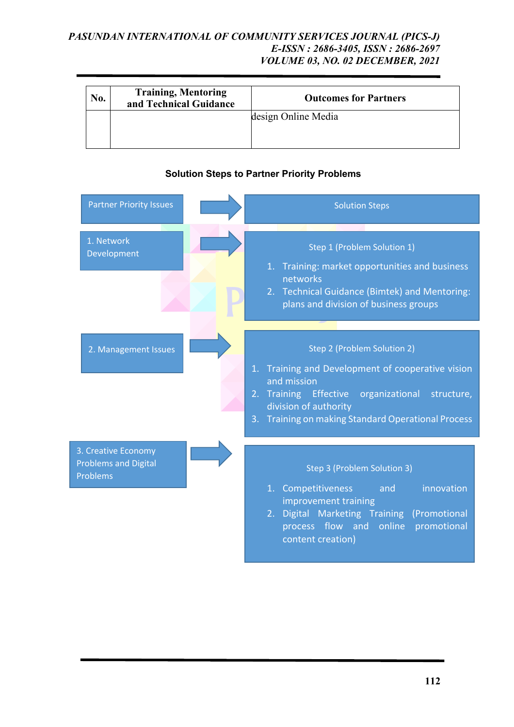## *PASUNDAN INTERNATIONAL OF COMMUNITY SERVICES JOURNAL (PICS-J) E-ISSN : 2686-3405, ISSN : 2686-2697 VOLUME 03, NO. 02 DECEMBER, 2021*

| No. | <b>Training, Mentoring</b><br>and Technical Guidance | <b>Outcomes for Partners</b> |
|-----|------------------------------------------------------|------------------------------|
|     |                                                      | design Online Media          |

| <b>Partner Priority Issues</b>                                 | <b>Solution Steps</b>                                                                                                                                                                                                                          |
|----------------------------------------------------------------|------------------------------------------------------------------------------------------------------------------------------------------------------------------------------------------------------------------------------------------------|
| 1. Network<br>Development                                      | Step 1 (Problem Solution 1)<br>1. Training: market opportunities and business<br>networks<br>2. Technical Guidance (Bimtek) and Mentoring:<br>plans and division of business groups                                                            |
| 2. Management Issues                                           | Step 2 (Problem Solution 2)<br>1. Training and Development of cooperative vision<br>and mission<br>2. Training Effective organizational<br>structure,<br>division of authority<br><b>Training on making Standard Operational Process</b><br>3. |
| 3. Creative Economy<br><b>Problems and Digital</b><br>Problems | Step 3 (Problem Solution 3)<br>innovation<br>1. Competitiveness<br>and<br>improvement training<br>2. Digital Marketing Training (Promotional<br>process flow and online<br>promotional<br>content creation)                                    |

# **Solution Steps to Partner Priority Problems**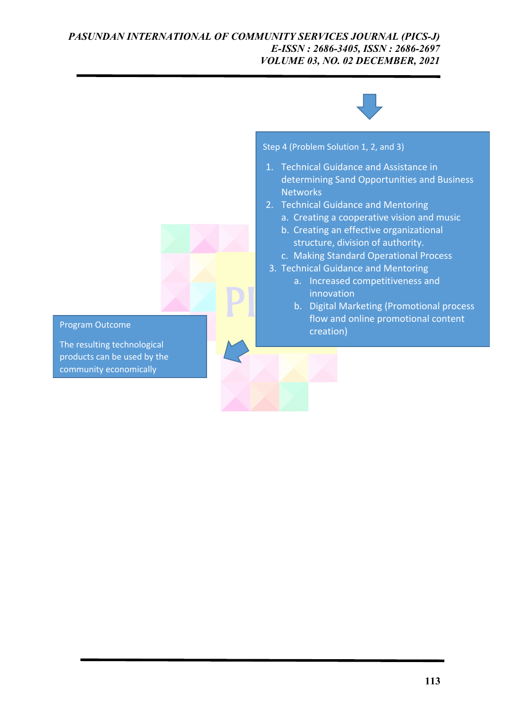### *PASUNDAN INTERNATIONAL OF COMMUNITY SERVICES JOURNAL (PICS-J) E-ISSN : 2686-3405, ISSN : 2686-2697 VOLUME 03, NO. 02 DECEMBER, 2021*



Step 4 (Problem Solution 1, 2, and 3)

- 1. Technical Guidance and Assistance in determining Sand Opportunities and Business **Networks**
- 2. Technical Guidance and Mentoring
	- a. Creating a cooperative vision and music
	- b. Creating an effective organizational structure, division of authority.
	- c. Making Standard Operational Process
- 3. Technical Guidance and Mentoring
	- a. Increased competitiveness and innovation
	- b. Digital Marketing (Promotional process flow and online promotional content creation)

#### Program Outcome

The resulting technological products can be used by the community economically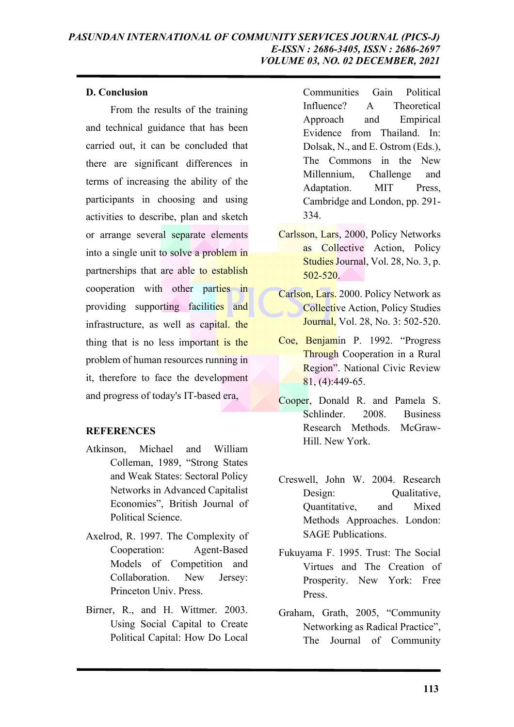## **D. Conclusion**

From the results of the training and technical guidance that has been carried out, it can be concluded that there are significant differences in terms of increasing the ability of the participants in choosing and using activities to describe, plan and sketch or arrange several separate elements into a single unit to solve a problem in partnerships that are able to establish cooperation with other parties in providing supporting facilities and infrastructure, as well as capital. the thing that is no less important is the problem of human resources running in it, therefore to face the development and progress of today's IT-based era,

# **REFERENCES**

- Atkinson, Michael and William Colleman, 1989, "Strong States and Weak States: Sectoral Policy Networks in Advanced Capitalist Economies", British Journal of Political Science.
- Axelrod, R. 1997. The Complexity of Cooperation: Agent-Based Models of Competition and Collaboration. New Jersey: Princeton Univ. Press.
- Birner, R., and H. Wittmer. 2003. Using Social Capital to Create Political Capital: How Do Local

Communities Gain Political Influence? A Theoretical Approach and Empirical Evidence from Thailand. In: Dolsak, N., and E. Ostrom (Eds.), The Commons in the New Millennium, Challenge and Adaptation. MIT Press, Cambridge and London, pp. 291- 334.

- Carlsson, Lars, 2000, Policy Networks as Collective Action, Policy Studies Journal, Vol. 28, No. 3, p. 502-520.
- Carlson, Lars. 2000. Policy Network as Collective Action, Policy Studies **Journal**, Vol. 28, No. 3: 502-520.
- Coe, Benjamin P. 1992. "Progress Through Cooperation in a Rural Region". National Civic Review  $81, (4):449-65.$
- Cooper, Donald R. and Pamela S. Schlinder. 2008. Business Research Methods. McGraw-Hill. New York.
- Creswell, John W. 2004. Research Design: Qualitative, Quantitative, and Mixed Methods Approaches. London: SAGE Publications.
- Fukuyama F. 1995. Trust: The Social Virtues and The Creation of Prosperity. New York: Free Press.
- Graham, Grath, 2005, "Community Networking as Radical Practice", The Journal of Community